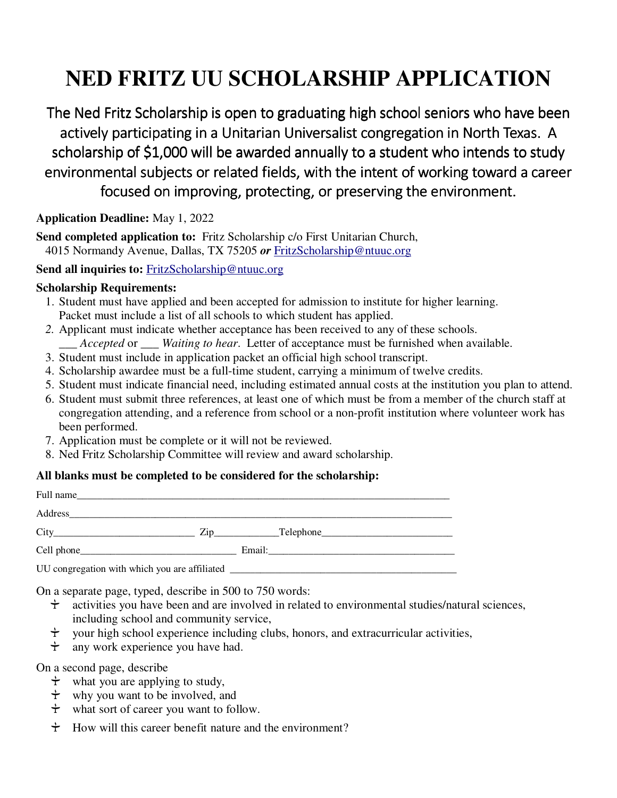## **NED FRITZ UU SCHOLARSHIP APPLICATION**

The Ned Fritz Scholarship is open to graduating high school seniors who have been actively participating in a Unitarian Universalist congregation in North Texas. A scholarship of \$1,000 will be awarded annually to a student who intends to study environmental subjects or related fields, with the intent of working toward a career focused on improving, protecting, or preserving the environment.

**Application Deadline:** May 1, 2022

**Send completed application to:** Fritz Scholarship c/o First Unitarian Church,

4015 Normandy Avenue, Dallas, TX 75205 *or* FritzScholarship@ntuuc.org

Send all inquiries to: FritzScholarship@ntuuc.org

## **Scholarship Requirements:**

- 1. Student must have applied and been accepted for admission to institute for higher learning. Packet must include a list of all schools to which student has applied.
- *2.* Applicant must indicate whether acceptance has been received to any of these schools. *\_\_\_ Accepted* or \_\_\_ *Waiting to hear*. Letter of acceptance must be furnished when available.
- 3. Student must include in application packet an official high school transcript.
- 4. Scholarship awardee must be a full-time student, carrying a minimum of twelve credits.
- 5. Student must indicate financial need, including estimated annual costs at the institution you plan to attend.
- 6. Student must submit three references, at least one of which must be from a member of the church staff at congregation attending, and a reference from school or a non-profit institution where volunteer work has been performed.
- 7. Application must be complete or it will not be reviewed.
- 8. Ned Fritz Scholarship Committee will review and award scholarship.

## **All blanks must be completed to be considered for the scholarship:**

| Full name                                                                        |                                            |
|----------------------------------------------------------------------------------|--------------------------------------------|
|                                                                                  |                                            |
| City                                                                             | $\overline{\text{Zip}}$ $\text{Telephone}$ |
|                                                                                  |                                            |
| UU congregation with which you are affiliated __________________________________ |                                            |

On a separate page, typed, describe in 500 to 750 words:

- $\dot{\tau}$  activities you have been and are involved in related to environmental studies/natural sciences, including school and community service,
- $\dot{\tau}$  vour high school experience including clubs, honors, and extracurricular activities,
- $\dot{\tau}$  any work experience you have had.

On a second page, describe

- $\dot{\tau}$  what you are applying to study,
- $\dot{\tau}$  why you want to be involved, and
- $\dot{\tau}$  what sort of career you want to follow.
- $\div$  How will this career benefit nature and the environment?